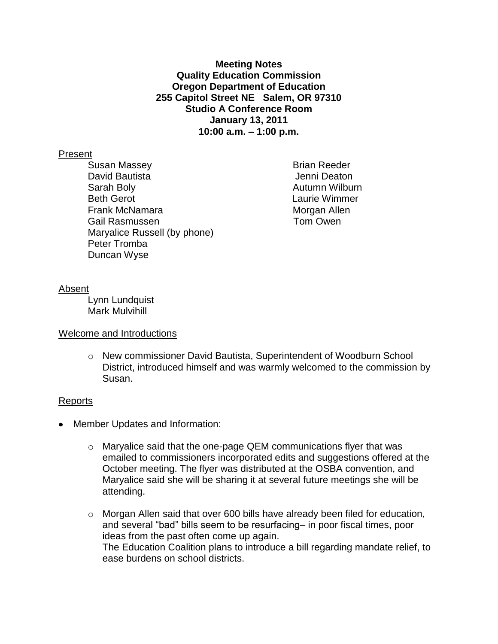**Meeting Notes Quality Education Commission Oregon Department of Education 255 Capitol Street NE Salem, OR 97310 Studio A Conference Room January 13, 2011 10:00 a.m. – 1:00 p.m.**

### Present

Susan Massey **Brian Reeder** David Bautista **Jenni Deaton** Sarah Boly **Autumn Wilburn Autumn Wilburn** Beth Gerot Laurie Wimmer Frank McNamara **Morgan Allen** Gail Rasmussen Tom Owen Maryalice Russell (by phone) Peter Tromba Duncan Wyse

### Absent

Lynn Lundquist Mark Mulvihill

# Welcome and Introductions

o New commissioner David Bautista, Superintendent of Woodburn School District, introduced himself and was warmly welcomed to the commission by Susan.

# Reports

- Member Updates and Information:
	- $\circ$  Maryalice said that the one-page QEM communications flyer that was emailed to commissioners incorporated edits and suggestions offered at the October meeting. The flyer was distributed at the OSBA convention, and Maryalice said she will be sharing it at several future meetings she will be attending.
	- o Morgan Allen said that over 600 bills have already been filed for education, and several "bad" bills seem to be resurfacing– in poor fiscal times, poor ideas from the past often come up again. The Education Coalition plans to introduce a bill regarding mandate relief, to ease burdens on school districts.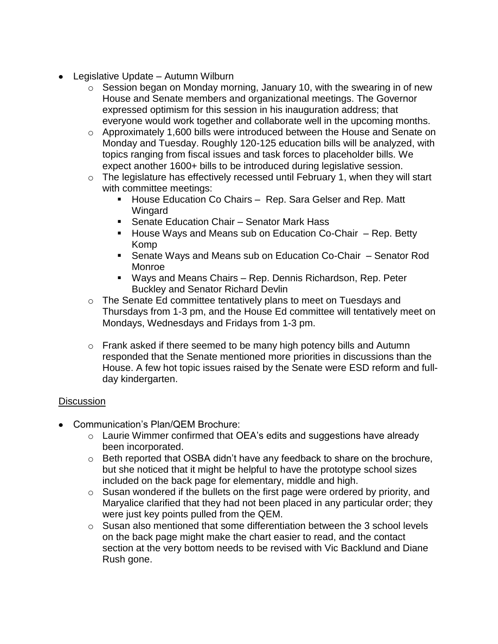- Legislative Update Autumn Wilburn
	- $\circ$  Session began on Monday morning, January 10, with the swearing in of new House and Senate members and organizational meetings. The Governor expressed optimism for this session in his inauguration address; that everyone would work together and collaborate well in the upcoming months.
	- o Approximately 1,600 bills were introduced between the House and Senate on Monday and Tuesday. Roughly 120-125 education bills will be analyzed, with topics ranging from fiscal issues and task forces to placeholder bills. We expect another 1600+ bills to be introduced during legislative session.
	- $\circ$  The legislature has effectively recessed until February 1, when they will start with committee meetings:
		- House Education Co Chairs Rep. Sara Gelser and Rep. Matt Wingard
		- Senate Education Chair Senator Mark Hass
		- House Ways and Means sub on Education Co-Chair Rep. Betty Komp
		- Senate Ways and Means sub on Education Co-Chair Senator Rod Monroe
		- Ways and Means Chairs Rep. Dennis Richardson, Rep. Peter Buckley and Senator Richard Devlin
	- o The Senate Ed committee tentatively plans to meet on Tuesdays and Thursdays from 1-3 pm, and the House Ed committee will tentatively meet on Mondays, Wednesdays and Fridays from 1-3 pm.
	- $\circ$  Frank asked if there seemed to be many high potency bills and Autumn responded that the Senate mentioned more priorities in discussions than the House. A few hot topic issues raised by the Senate were ESD reform and fullday kindergarten.

# **Discussion**

- Communication's Plan/QEM Brochure:
	- o Laurie Wimmer confirmed that OEA's edits and suggestions have already been incorporated.
	- $\circ$  Beth reported that OSBA didn't have any feedback to share on the brochure, but she noticed that it might be helpful to have the prototype school sizes included on the back page for elementary, middle and high.
	- o Susan wondered if the bullets on the first page were ordered by priority, and Maryalice clarified that they had not been placed in any particular order; they were just key points pulled from the QEM.
	- o Susan also mentioned that some differentiation between the 3 school levels on the back page might make the chart easier to read, and the contact section at the very bottom needs to be revised with Vic Backlund and Diane Rush gone.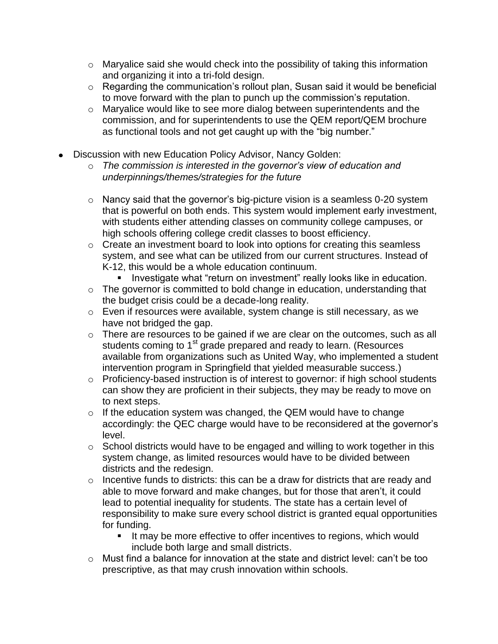- $\circ$  Maryalice said she would check into the possibility of taking this information and organizing it into a tri-fold design.
- o Regarding the communication's rollout plan, Susan said it would be beneficial to move forward with the plan to punch up the commission's reputation.
- o Maryalice would like to see more dialog between superintendents and the commission, and for superintendents to use the QEM report/QEM brochure as functional tools and not get caught up with the "big number."
- Discussion with new Education Policy Advisor, Nancy Golden:
	- o *The commission is interested in the governor's view of education and underpinnings/themes/strategies for the future*
	- o Nancy said that the governor's big-picture vision is a seamless 0-20 system that is powerful on both ends. This system would implement early investment, with students either attending classes on community college campuses, or high schools offering college credit classes to boost efficiency.
	- o Create an investment board to look into options for creating this seamless system, and see what can be utilized from our current structures. Instead of K-12, this would be a whole education continuum.
		- **Investigate what "return on investment" really looks like in education.**
	- o The governor is committed to bold change in education, understanding that the budget crisis could be a decade-long reality.
	- o Even if resources were available, system change is still necessary, as we have not bridged the gap.
	- o There are resources to be gained if we are clear on the outcomes, such as all students coming to 1<sup>st</sup> grade prepared and ready to learn. (Resources available from organizations such as United Way, who implemented a student intervention program in Springfield that yielded measurable success.)
	- o Proficiency-based instruction is of interest to governor: if high school students can show they are proficient in their subjects, they may be ready to move on to next steps.
	- $\circ$  If the education system was changed, the QEM would have to change accordingly: the QEC charge would have to be reconsidered at the governor's level.
	- $\circ$  School districts would have to be engaged and willing to work together in this system change, as limited resources would have to be divided between districts and the redesign.
	- $\circ$  Incentive funds to districts: this can be a draw for districts that are ready and able to move forward and make changes, but for those that aren't, it could lead to potential inequality for students. The state has a certain level of responsibility to make sure every school district is granted equal opportunities for funding.
		- It may be more effective to offer incentives to regions, which would include both large and small districts.
	- o Must find a balance for innovation at the state and district level: can't be too prescriptive, as that may crush innovation within schools.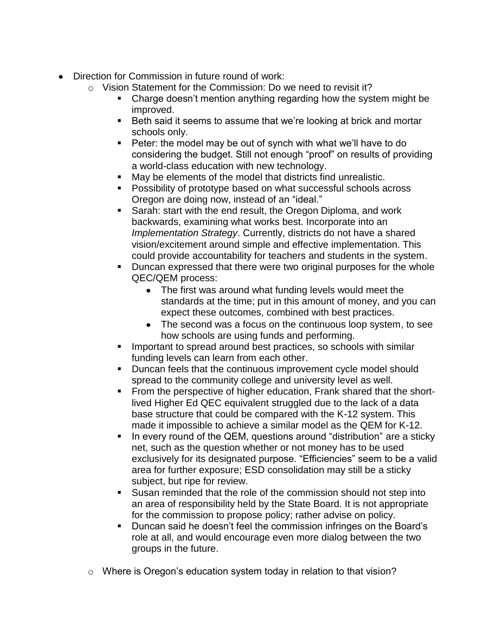- Direction for Commission in future round of work:
	- o Vision Statement for the Commission: Do we need to revisit it?
		- Charge doesn't mention anything regarding how the system might be improved.
			- Beth said it seems to assume that we're looking at brick and mortar schools only.
		- Peter: the model may be out of synch with what we'll have to do considering the budget. Still not enough "proof" on results of providing a world-class education with new technology.
		- May be elements of the model that districts find unrealistic.
		- Possibility of prototype based on what successful schools across Oregon are doing now, instead of an "ideal."
		- **Sarah: start with the end result, the Oregon Diploma, and work** backwards, examining what works best. Incorporate into an *Implementation Strategy*. Currently, districts do not have a shared vision/excitement around simple and effective implementation. This could provide accountability for teachers and students in the system.
		- **Duncan expressed that there were two original purposes for the whole** QEC/QEM process:
			- The first was around what funding levels would meet the standards at the time; put in this amount of money, and you can expect these outcomes, combined with best practices.
			- The second was a focus on the continuous loop system, to see how schools are using funds and performing.
		- Important to spread around best practices, so schools with similar funding levels can learn from each other.
		- **Duncan feels that the continuous improvement cycle model should** spread to the community college and university level as well.
		- **From the perspective of higher education, Frank shared that the short**lived Higher Ed QEC equivalent struggled due to the lack of a data base structure that could be compared with the K-12 system. This made it impossible to achieve a similar model as the QEM for K-12.
		- In every round of the QEM, questions around "distribution" are a sticky net, such as the question whether or not money has to be used exclusively for its designated purpose. "Efficiencies" seem to be a valid area for further exposure; ESD consolidation may still be a sticky subject, but ripe for review.
		- Susan reminded that the role of the commission should not step into an area of responsibility held by the State Board. It is not appropriate for the commission to propose policy; rather advise on policy.
		- **Duncan said he doesn't feel the commission infringes on the Board's** role at all, and would encourage even more dialog between the two groups in the future.
	- o Where is Oregon's education system today in relation to that vision?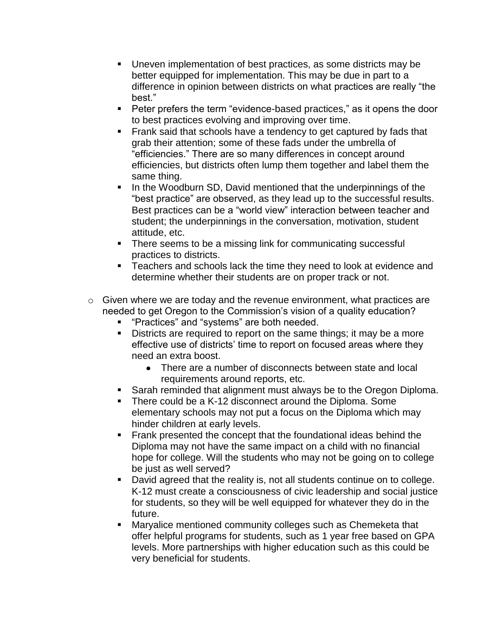- Uneven implementation of best practices, as some districts may be better equipped for implementation. This may be due in part to a difference in opinion between districts on what practices are really "the best."
- **Peter prefers the term "evidence-based practices," as it opens the door** to best practices evolving and improving over time.
- **Frank said that schools have a tendency to get captured by fads that** grab their attention; some of these fads under the umbrella of "efficiencies." There are so many differences in concept around efficiencies, but districts often lump them together and label them the same thing.
- In the Woodburn SD, David mentioned that the underpinnings of the "best practice" are observed, as they lead up to the successful results. Best practices can be a "world view" interaction between teacher and student; the underpinnings in the conversation, motivation, student attitude, etc.
- There seems to be a missing link for communicating successful practices to districts.
- **F** Teachers and schools lack the time they need to look at evidence and determine whether their students are on proper track or not.
- $\circ$  Given where we are today and the revenue environment, what practices are needed to get Oregon to the Commission's vision of a quality education?
	- **•** "Practices" and "systems" are both needed.
	- Districts are required to report on the same things; it may be a more effective use of districts' time to report on focused areas where they need an extra boost.
		- There are a number of disconnects between state and local requirements around reports, etc.
	- Sarah reminded that alignment must always be to the Oregon Diploma.
	- There could be a K-12 disconnect around the Diploma. Some elementary schools may not put a focus on the Diploma which may hinder children at early levels.
	- **Frank presented the concept that the foundational ideas behind the** Diploma may not have the same impact on a child with no financial hope for college. Will the students who may not be going on to college be just as well served?
	- David agreed that the reality is, not all students continue on to college. K-12 must create a consciousness of civic leadership and social justice for students, so they will be well equipped for whatever they do in the future.
	- **Maryalice mentioned community colleges such as Chemeketa that** offer helpful programs for students, such as 1 year free based on GPA levels. More partnerships with higher education such as this could be very beneficial for students.